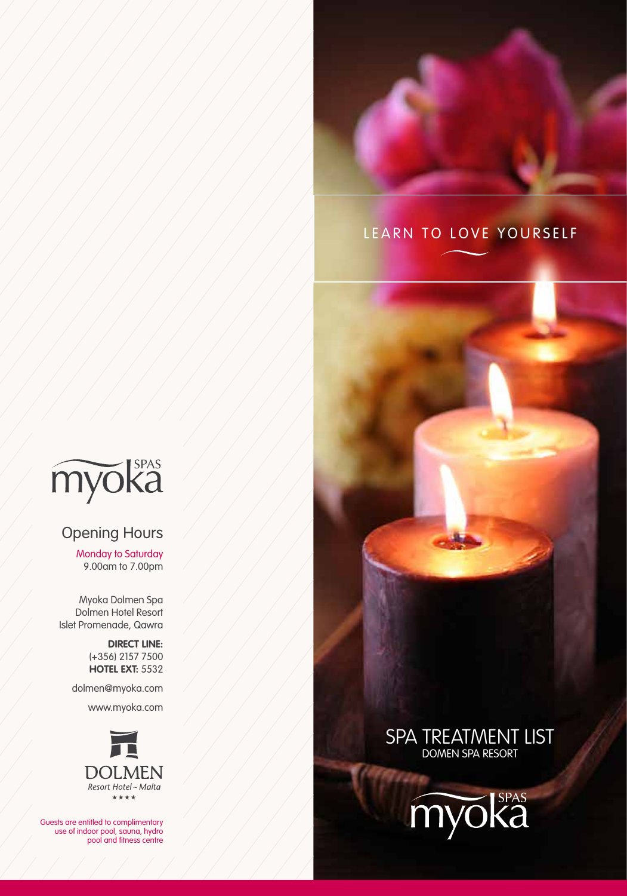

# LEARN TO LOVE YOURSELF



# Opening Hours

Monday to Saturday 9.00am to 7.00pm

Myoka Dolmen Spa Dolmen Hotel Resort Islet Promenade, Qawra

> **DIRECT LINE:** (+356) 2157 7500 **HOTEL EXT:** 5532

dolmen@myoka.com

www.myoka.com



Guests are entitled to complimentary use of indoor pool, sauna, hydro pool and fitness centre



# SPA TREATMENT LIS domen spa resort

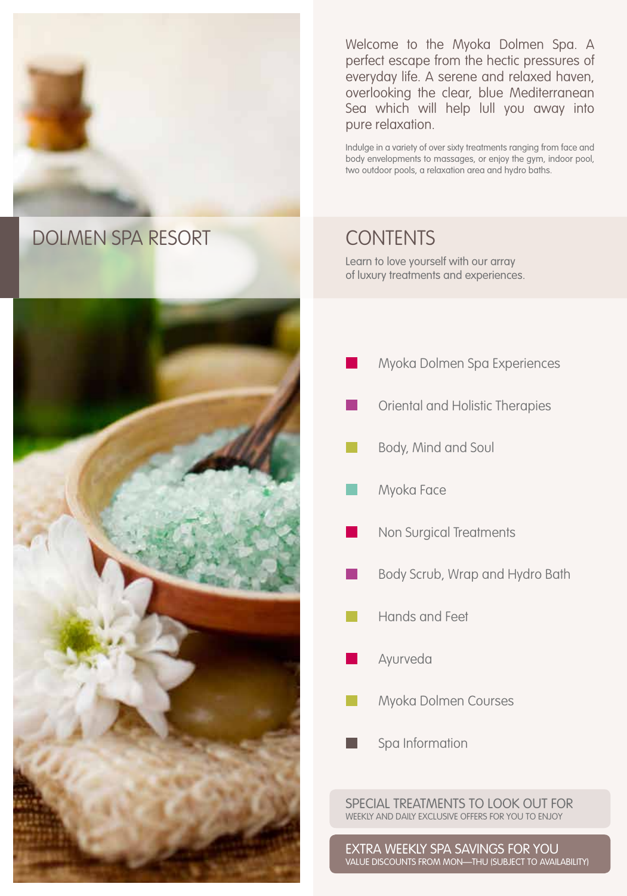

# dolmen spa resort Contents



Welcome to the Myoka Dolmen Spa. A perfect escape from the hectic pressures of everyday life. A serene and relaxed haven, overlooking the clear, blue Mediterranean Sea which will help lull you away into pure relaxation.

Indulge in a variety of over sixty treatments ranging from face and body envelopments to massages, or enjoy the gym, indoor pool, two outdoor pools, a relaxation area and hydro baths.

Learn to love yourself with our array of luxury treatments and experiences.

- Myoka Dolmen Spa Experiences
- Oriental and Holistic Therapies
- Body, Mind and Soul
- Myoka Face
- Non Surgical Treatments
- Body Scrub, Wrap and Hydro Bath
- Hands and Feet
- Ayurveda
- Myoka Dolmen Courses
- Spa Information

special treatments to look out for weekly and daily exclusive offers for you to enjoy

extra weekly spa savings for you value discounts from mon—thu (subject to availability)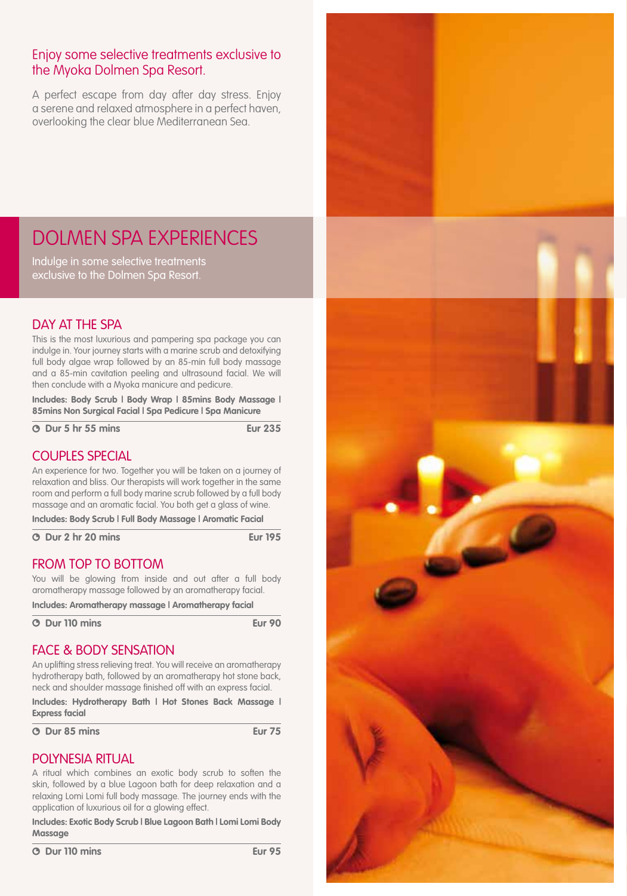# Enjoy some selective treatments exclusive to the Myoka Dolmen Spa Resort.

A perfect escape from day after day stress. Enjoy a serene and relaxed atmosphere in a perfect haven, overlooking the clear blue Mediterranean Sea.

# dolmen spa EXPERIENCES

Indulge in some selective treatments exclusive to the Dolmen Spa Resort.

# DAY AT THE SPA

This is the most luxurious and pampering spa package you can indulge in. Your journey starts with a marine scrub and detoxifying full body algae wrap followed by an 85-min full body massage and a 85-min cavitation peeling and ultrasound facial. We will then conclude with a Myoka manicure and pedicure.

**Includes: Body Scrub | Body Wrap | 85mins Body Massage | 85mins Non Surgical Facial | Spa Pedicure | Spa Manicure**

 **0 Dur 5 hr 55 mins Eur 235** 

# COUPLES SPECIAL

An experience for two. Together you will be taken on a journey of relaxation and bliss. Our therapists will work together in the same room and perform a full body marine scrub followed by a full body massage and an aromatic facial. You both get a glass of wine.

**Includes: Body Scrub | Full Body Massage | Aromatic Facial**

 **Dur 2 hr 20 mins Eur 195**

## FROM TOP TO BOTTOM

You will be glowing from inside and out after a full body aromatherapy massage followed by an aromatherapy facial.

**Includes: Aromatherapy massage | Aromatherapy facial**

 **Dur 110 mins Eur 90**

### face & body sensation

An uplifting stress relieving treat. You will receive an aromatherapy hydrotherapy bath, followed by an aromatherapy hot stone back, neck and shoulder massage finished off with an express facial.

**Includes: Hydrotherapy Bath | Hot Stones Back Massage | Express facial**

 **Dur 85 mins Eur 75**

### POLYNESIA RITUAL

A ritual which combines an exotic body scrub to soften the skin, followed by a blue Lagoon bath for deep relaxation and a relaxing Lomi Lomi full body massage. The journey ends with the application of luxurious oil for a glowing effect.

**Includes: Exotic Body Scrub | Blue Lagoon Bath | Lomi Lomi Body Massage**

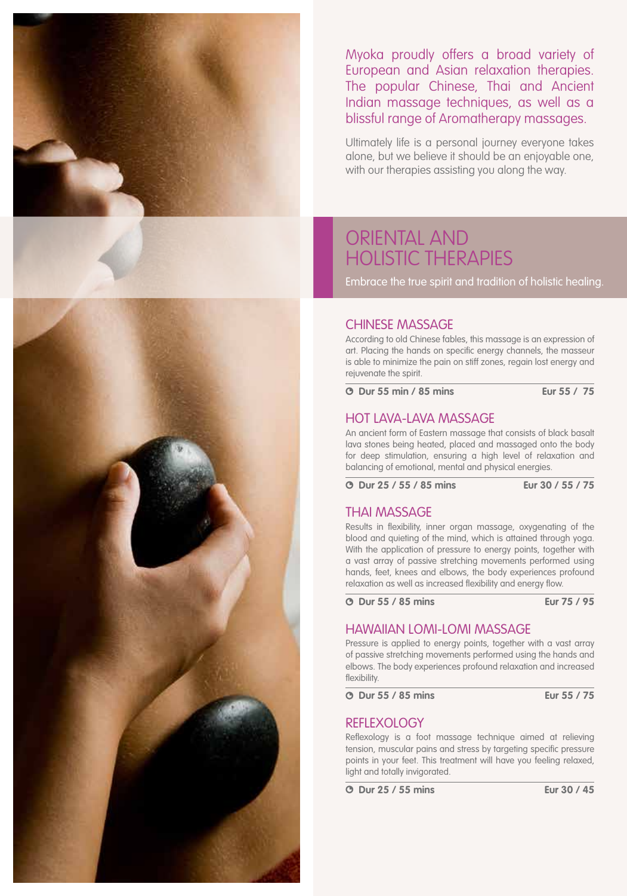

Myoka proudly offers a broad variety of European and Asian relaxation therapies. The popular Chinese, Thai and Ancient Indian massage techniques, as well as a blissful range of Aromatherapy massages.

Ultimately life is a personal journey everyone takes alone, but we believe it should be an enjoyable one, with our therapies assisting you along the way.

# Oriental and Holistic Therapies

Embrace the true spirit and tradition of holistic healing.

#### CHINESE MASSAGE

According to old Chinese fables, this massage is an expression of art. Placing the hands on specific energy channels, the masseur is able to minimize the pain on stiff zones, regain lost energy and rejuvenate the spirit.

 **Dur 55 min / 85 mins Eur 55 / €75**

#### HOT LAVA-LAVA MASSAGE

An ancient form of Eastern massage that consists of black basalt lava stones being heated, placed and massaged onto the body for deep stimulation, ensuring a high level of relaxation and balancing of emotional, mental and physical energies.

 **Dur 25 / 55 / 85 mins Eur 30 / 55 / 75**

#### thai massage

Results in flexibility, inner organ massage, oxygenating of the blood and quieting of the mind, which is attained through yoga. With the application of pressure to energy points, together with a vast array of passive stretching movements performed using hands, feet, knees and elbows, the body experiences profound relaxation as well as increased flexibility and energy flow.

 **Dur 55 / 85 mins Eur 75 / 95**

#### HAWAIIAN LOMI-LOMI MASSAGE

Pressure is applied to energy points, together with a vast array of passive stretching movements performed using the hands and elbows. The body experiences profound relaxation and increased flexibility.

 **Dur 55 / 85 mins Eur 55 / 75**

#### REFLEXOLOGY

Reflexology is a foot massage technique aimed at relieving tension, muscular pains and stress by targeting specific pressure points in your feet. This treatment will have you feeling relaxed, light and totally invigorated.

 **Dur 25 / 55 mins Eur 30 / 45**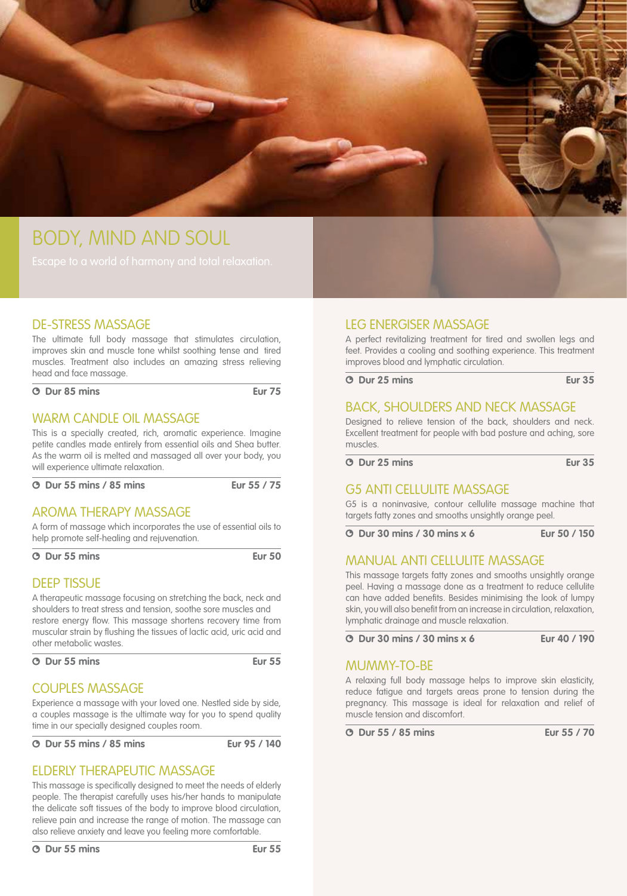

# Body, Mind and Soul

### DE-STRESS MASSAGE

The ultimate full body massage that stimulates circulation, improves skin and muscle tone whilst soothing tense and tired muscles. Treatment also includes an amazing stress relieving head and face massage.

 **Dur 85 mins Eur 75**

#### WARM CANDLE OIL MASSAGE

This is a specially created, rich, aromatic experience. Imagine petite candles made entirely from essential oils and Shea butter. As the warm oil is melted and massaged all over your body, you will experience ultimate relaxation.

#### **Dur 55 mins / 85 mins Eur 55 / 75**

#### AROMA THERAPY MASSAGE

A form of massage which incorporates the use of essential oils to help promote self-healing and rejuvenation.

 **Dur 55 mins Eur 50**

#### DEEP TISSUE

A therapeutic massage focusing on stretching the back, neck and shoulders to treat stress and tension, soothe sore muscles and restore energy flow. This massage shortens recovery time from muscular strain by flushing the tissues of lactic acid, uric acid and other metabolic wastes.

 **Dur 55 mins Eur 55**

### COUPLES MASSAGE

Experience a massage with your loved one. Nestled side by side, a couples massage is the ultimate way for you to spend quality time in our specially designed couples room.

 **Dur 55 mins / 85 mins Eur 95 / 140**

# ELDERLY THERAPEUTIC MASSAGE

This massage is specifically designed to meet the needs of elderly people. The therapist carefully uses his/her hands to manipulate the delicate soft tissues of the body to improve blood circulation, relieve pain and increase the range of motion. The massage can also relieve anxiety and leave you feeling more comfortable.

### LEG ENERGISER MASSAGE

A perfect revitalizing treatment for tired and swollen legs and feet. Provides a cooling and soothing experience. This treatment improves blood and lymphatic circulation.

 **Dur 25 mins Eur 35**

#### BACK, SHOULDERS AND NECK MASSAGE

Designed to relieve tension of the back, shoulders and neck. Excellent treatment for people with bad posture and aching, sore muscles.

 **Dur 25 mins Eur 35**

### G5 ANTI CELLULITE MASSAGE

G5 is a noninvasive, contour cellulite massage machine that targets fatty zones and smooths unsightly orange peel.

 **Dur 30 mins / 30 mins x 6 Eur 50 / 150**

### MANUAL ANTI CELLULITE MASSAGE

This massage targets fatty zones and smooths unsightly orange peel. Having a massage done as a treatment to reduce cellulite can have added benefits. Besides minimising the look of lumpy skin, you will also benefit from an increase in circulation, relaxation, lymphatic drainage and muscle relaxation.

 **Dur 30 mins / 30 mins x 6 Eur 40 / 190**

#### MUMMY-TO-BE

A relaxing full body massage helps to improve skin elasticity, reduce fatigue and targets areas prone to tension during the pregnancy. This massage is ideal for relaxation and relief of muscle tension and discomfort.

 **Dur 55 / 85 mins Eur 55 / 70**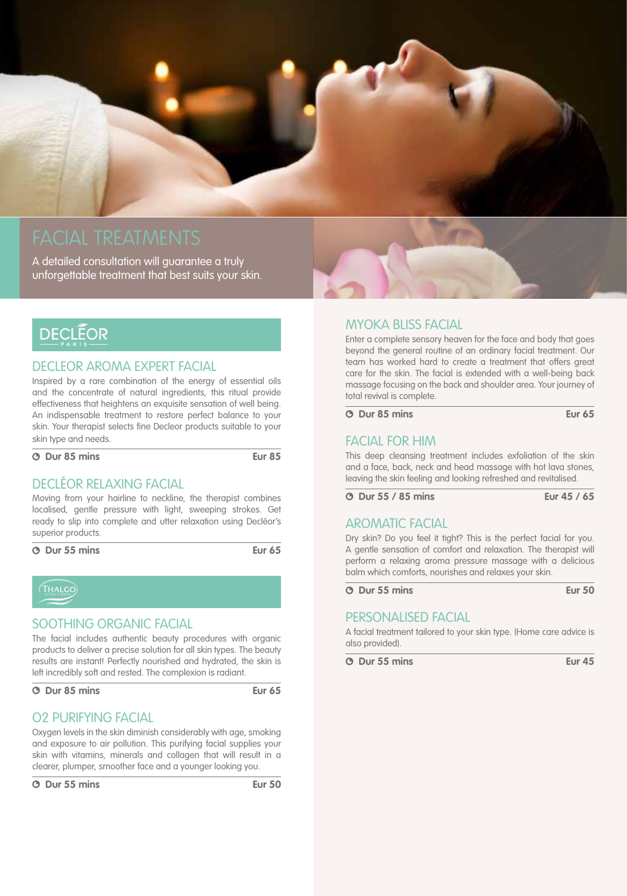

A detailed consultation will guarantee a truly unforgettable treatment that best suits your skin.

# **DECLÉOR**

#### DECLEOR AROMA EXPERT FACIAL

Inspired by a rare combination of the energy of essential oils and the concentrate of natural ingredients, this ritual provide effectiveness that heightens an exquisite sensation of well being. An indispensable treatment to restore perfect balance to your skin. Your therapist selects fine Decleor products suitable to your skin type and needs.

 **Dur 85 mins Eur 85**

### DECLÉOR RELAXING FACIAL

Moving from your hairline to neckline, the therapist combines localised, gentle pressure with light, sweeping strokes. Get ready to slip into complete and utter relaxation using Decléor's superior products.

 **Dur 55 mins Eur 65**



#### SOOTHING ORGANIC FACIAL

The facial includes authentic beauty procedures with organic products to deliver a precise solution for all skin types. The beauty results are instant! Perfectly nourished and hydrated, the skin is left incredibly soft and rested. The complexion is radiant.

 **Dur 85 mins Eur 65**

### O2 PURIFYING FACIAL

Oxygen levels in the skin diminish considerably with age, smoking and exposure to air pollution. This purifying facial supplies your skin with vitamins, minerals and collagen that will result in a clearer, plumper, smoother face and a younger looking you.

## MYOKA BLISS FACIAL

Enter a complete sensory heaven for the face and body that goes beyond the general routine of an ordinary facial treatment. Our team has worked hard to create a treatment that offers great care for the skin. The facial is extended with a well-being back massage focusing on the back and shoulder area. Your journey of total revival is complete.

#### **Dur 85 mins Eur 65**

## FACIAL FOR HIM

This deep cleansing treatment includes exfoliation of the skin and a face, back, neck and head massage with hot lava stones, leaving the skin feeling and looking refreshed and revitalised.

 **Dur 55 / 85 mins Eur 45 / 65**

#### AROMATIC FACIAL

Dry skin? Do you feel it tight? This is the perfect facial for you. A gentle sensation of comfort and relaxation. The therapist will perform a relaxing aroma pressure massage with a delicious balm which comforts, nourishes and relaxes your skin.

#### **Dur 55 mins Eur 50**

#### personalised FACIAL

A facial treatment tailored to your skin type. (Home care advice is also provided).

 **Dur 55 mins Eur 45**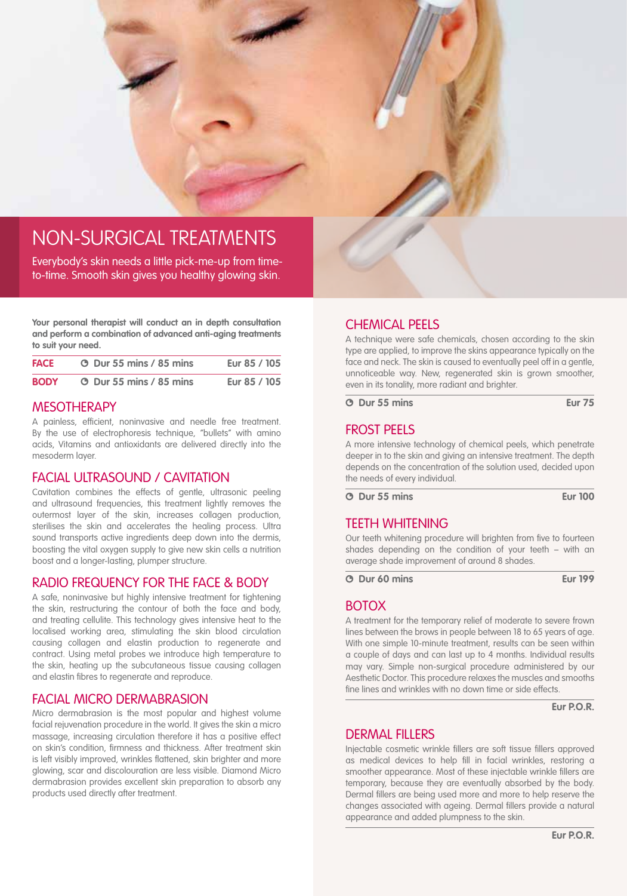

# Non-surgical treatments

Everybody's skin needs a little pick-me-up from timeto-time. Smooth skin gives you healthy glowing skin.

**Your personal therapist will conduct an in depth consultation and perform a combination of advanced anti-aging treatments to suit your need.**

| <b>FACE</b> | <b>O</b> Dur 55 mins / 85 mins | Eur 85 / 105 |
|-------------|--------------------------------|--------------|
| <b>BODY</b> | <b>3</b> Dur 55 mins / 85 mins | €ur 85 / 105 |

#### **MESOTHERAPY**

A painless, efficient, noninvasive and needle free treatment. By the use of electrophoresis technique, "bullets" with amino acids, Vitamins and antioxidants are delivered directly into the mesoderm layer.

#### FACIAL ULTRASOUND / CAVITATION

Cavitation combines the effects of gentle, ultrasonic peeling and ultrasound frequencies, this treatment lightly removes the outermost layer of the skin, increases collagen production, sterilises the skin and accelerates the healing process. Ultra sound transports active ingredients deep down into the dermis, boosting the vital oxygen supply to give new skin cells a nutrition boost and a longer-lasting, plumper structure.

#### RADIO FREQUENCY FOR THE FACE & BODY

A safe, noninvasive but highly intensive treatment for tightening the skin, restructuring the contour of both the face and body, and treating cellulite. This technology gives intensive heat to the localised working area, stimulating the skin blood circulation causing collagen and elastin production to regenerate and contract. Using metal probes we introduce high temperature to the skin, heating up the subcutaneous tissue causing collagen and elastin fibres to regenerate and reproduce.

#### FACIAL MICRO DERMABRASION

Micro dermabrasion is the most popular and highest volume facial rejuvenation procedure in the world. It gives the skin a micro massage, increasing circulation therefore it has a positive effect on skin's condition, firmness and thickness. After treatment skin is left visibly improved, wrinkles flattened, skin brighter and more glowing, scar and discolouration are less visible. Diamond Micro dermabrasion provides excellent skin preparation to absorb any products used directly after treatment.

### Chemical Peels

A technique were safe chemicals, chosen according to the skin type are applied, to improve the skins appearance typically on the face and neck. The skin is caused to eventually peel off in a gentle, unnoticeable way. New, regenerated skin is grown smoother, even in its tonality, more radiant and brighter.

 **Dur 55 mins Eur 75**

### Frost Peels

A more intensive technology of chemical peels, which penetrate deeper in to the skin and giving an intensive treatment. The depth depends on the concentration of the solution used, decided upon the needs of every individual.

 **Dur 55 mins Eur 100**

#### TEETH WHITENING

Our teeth whitening procedure will brighten from five to fourteen shades depending on the condition of your teeth – with an average shade improvement of around 8 shades.

 **Dur 60 mins Eur 199**

#### **BOTOX**

A treatment for the temporary relief of moderate to severe frown lines between the brows in people between 18 to 65 years of age. With one simple 10-minute treatment, results can be seen within a couple of days and can last up to 4 months. Individual results may vary. Simple non-surgical procedure administered by our Aesthetic Doctor. This procedure relaxes the muscles and smooths fine lines and wrinkles with no down time or side effects.

**Eur P.O.R.**

## DERMAL FILLERS

Injectable cosmetic wrinkle fillers are soft tissue fillers approved as medical devices to help fill in facial wrinkles, restoring a smoother appearance. Most of these injectable wrinkle fillers are temporary, because they are eventually absorbed by the body. Dermal fillers are being used more and more to help reserve the changes associated with ageing. Dermal fillers provide a natural appearance and added plumpness to the skin.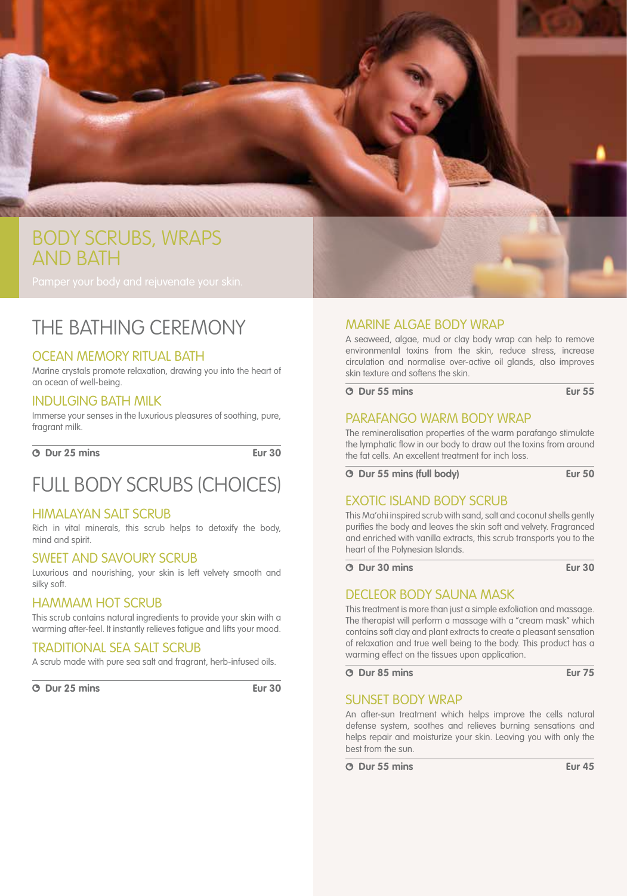

# THE BATHING CEREMONY

### OCEAN MEMORY RITUAL BATH

Marine crystals promote relaxation, drawing you into the heart of an ocean of well-being.

#### INDULGING BATH MILK

Immerse your senses in the luxurious pleasures of soothing, pure, fragrant milk.

 **Dur 25 mins Eur 30**

# FULL BODY SCRUBS (CHOICES)

#### HIMALAYAN SALT SCRUB

Rich in vital minerals, this scrub helps to detoxify the body, mind and spirit.

#### SWEET and SAVOURY SCRUB

Luxurious and nourishing, your skin is left velvety smooth and silky soft.

#### HAMMAM HOT SCRUB

This scrub contains natural ingredients to provide your skin with a warming after-feel. It instantly relieves fatigue and lifts your mood.

#### TRADITIONAL SEA SALT SCRUB

A scrub made with pure sea salt and fragrant, herb-infused oils.

 **Dur 25 mins Eur 30**

# MARINE ALGAE BODY WRAP

A seaweed, algae, mud or clay body wrap can help to remove environmental toxins from the skin, reduce stress, increase circulation and normalise over-active oil glands, also improves skin texture and softens the skin.

 **Dur 55 mins Eur 55**

### PARAFANGO WARM BODY WRAP

The remineralisation properties of the warm parafango stimulate the lymphatic flow in our body to draw out the toxins from around the fat cells. An excellent treatment for inch loss.

 **Dur 55 mins (full body) Eur 50**

### EXOTIC ISLAND BODY SCRUB

This Ma'ohi inspired scrub with sand, salt and coconut shells gently purifies the body and leaves the skin soft and velvety. Fragranced and enriched with vanilla extracts, this scrub transports you to the heart of the Polynesian Islands.

 **Dur 30 mins Eur 30**

#### decleor body sauna mask

This treatment is more than just a simple exfoliation and massage. The therapist will perform a massage with a "cream mask" which contains soft clay and plant extracts to create a pleasant sensation of relaxation and true well being to the body. This product has a warming effect on the tissues upon application.

 **Dur 85 mins Eur 75**

#### SUNSET BODY WRAP

An after-sun treatment which helps improve the cells natural defense system, soothes and relieves burning sensations and helps repair and moisturize your skin. Leaving you with only the best from the sun.

 **Dur 55 mins Eur 45**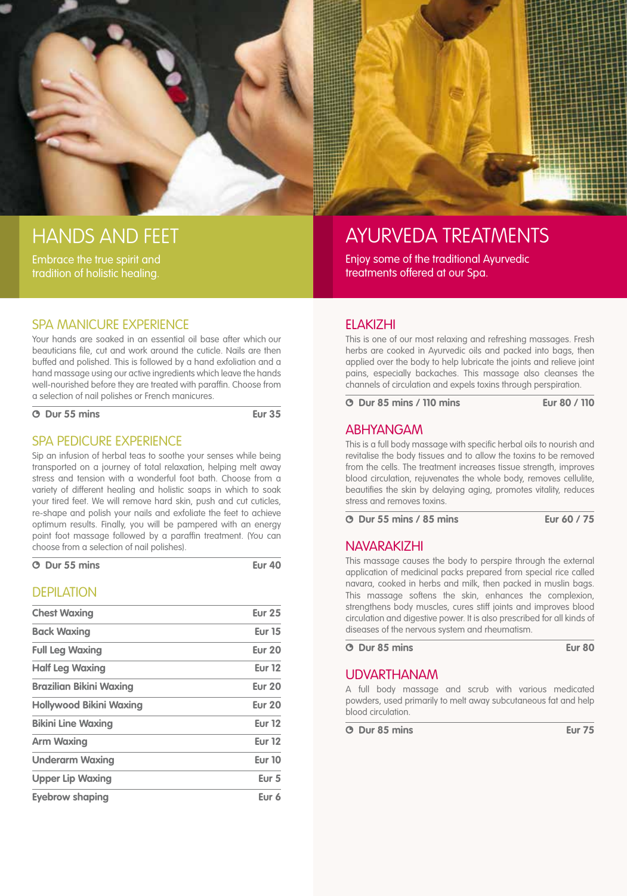

# Hands and Feet

Embrace the true spirit and tradition of holistic healing.



Your hands are soaked in an essential oil base after which our beauticians file, cut and work around the cuticle. Nails are then buffed and polished. This is followed by a hand exfoliation and a hand massage using our active ingredients which leave the hands well-nourished before they are treated with paraffin. Choose from a selection of nail polishes or French manicures.

 **Dur 55 mins Eur 35**

### SPA PEDICURE EXPERIENCE

Sip an infusion of herbal teas to soothe your senses while being transported on a journey of total relaxation, helping melt away stress and tension with a wonderful foot bath. Choose from a variety of different healing and holistic soaps in which to soak your tired feet. We will remove hard skin, push and cut cuticles, re-shape and polish your nails and exfoliate the feet to achieve optimum results. Finally, you will be pampered with an energy point foot massage followed by a paraffin treatment. (You can choose from a selection of nail polishes).

| <b>O</b> Dur 55 mins |  | <b>Eur 40</b> |  |
|----------------------|--|---------------|--|
|                      |  |               |  |

# **DEPILATION**

| <b>Chest Waxing</b>            | <b>Eur 25</b>    |
|--------------------------------|------------------|
| <b>Back Waxing</b>             | <b>Eur 15</b>    |
| <b>Full Leg Waxing</b>         | <b>Eur 20</b>    |
| <b>Half Leg Waxing</b>         | <b>Eur 12</b>    |
| <b>Brazilian Bikini Waxing</b> | <b>Eur 20</b>    |
| <b>Hollywood Bikini Waxing</b> | <b>Eur 20</b>    |
| <b>Bikini Line Waxing</b>      | <b>Eur 12</b>    |
| <b>Arm Waxing</b>              | <b>Eur 12</b>    |
| <b>Underarm Waxing</b>         | <b>Eur 10</b>    |
| <b>Upper Lip Waxing</b>        | Eur <sub>5</sub> |
| Eyebrow shaping                | Eur 6            |



# Ayurveda Treatments

Enjoy some of the traditional Ayurvedic treatments offered at our Spa.

# ELAKIZHI

This is one of our most relaxing and refreshing massages. Fresh herbs are cooked in Ayurvedic oils and packed into bags, then applied over the body to help lubricate the joints and relieve joint pains, especially backaches. This massage also cleanses the channels of circulation and expels toxins through perspiration.

 **Dur 85 mins / 110 mins Eur 80 / 110**

#### ABHYANGAM

This is a full body massage with specific herbal oils to nourish and revitalise the body tissues and to allow the toxins to be removed from the cells. The treatment increases tissue strength, improves blood circulation, rejuvenates the whole body, removes cellulite, beautifies the skin by delaying aging, promotes vitality, reduces stress and removes toxins.

 **Dur 55 mins / 85 mins Eur 60 / 75**

### NAVARAKIZHI

This massage causes the body to perspire through the external application of medicinal packs prepared from special rice called navara, cooked in herbs and milk, then packed in muslin bags. This massage softens the skin, enhances the complexion, strengthens body muscles, cures stiff joints and improves blood circulation and digestive power. It is also prescribed for all kinds of diseases of the nervous system and rheumatism.

 **Dur 85 mins Eur 80**

## UDVARTHANAM

A full body massage and scrub with various medicated powders, used primarily to melt away subcutaneous fat and help blood circulation.

 **Dur 85 mins Eur 75**